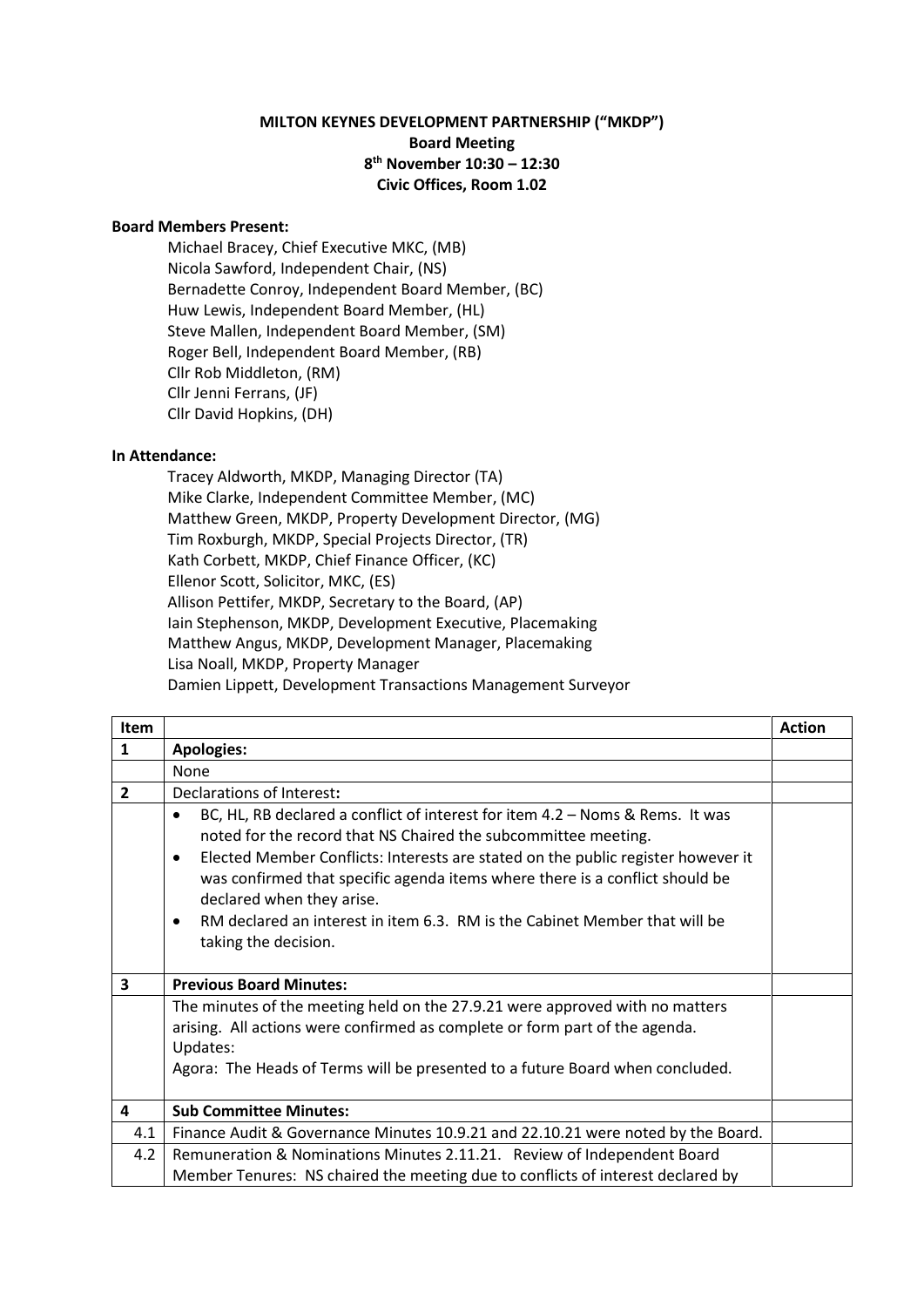## **MILTON KEYNES DEVELOPMENT PARTNERSHIP ("MKDP") Board Meeting 8 th November 10:30 – 12:30 Civic Offices, Room 1.02**

## **Board Members Present:**

Michael Bracey, Chief Executive MKC, (MB) Nicola Sawford, Independent Chair, (NS) Bernadette Conroy, Independent Board Member, (BC) Huw Lewis, Independent Board Member, (HL) Steve Mallen, Independent Board Member, (SM) Roger Bell, Independent Board Member, (RB) Cllr Rob Middleton, (RM) Cllr Jenni Ferrans, (JF) Cllr David Hopkins, (DH)

## **In Attendance:**

Tracey Aldworth, MKDP, Managing Director (TA) Mike Clarke, Independent Committee Member, (MC) Matthew Green, MKDP, Property Development Director, (MG) Tim Roxburgh, MKDP, Special Projects Director, (TR) Kath Corbett, MKDP, Chief Finance Officer, (KC) Ellenor Scott, Solicitor, MKC, (ES) Allison Pettifer, MKDP, Secretary to the Board, (AP) Iain Stephenson, MKDP, Development Executive, Placemaking Matthew Angus, MKDP, Development Manager, Placemaking Lisa Noall, MKDP, Property Manager Damien Lippett, Development Transactions Management Surveyor

| Item           |                                                                                                                                                                                                                                                                                                                                                                                                                                                                                               | <b>Action</b> |
|----------------|-----------------------------------------------------------------------------------------------------------------------------------------------------------------------------------------------------------------------------------------------------------------------------------------------------------------------------------------------------------------------------------------------------------------------------------------------------------------------------------------------|---------------|
| $\mathbf{1}$   | <b>Apologies:</b>                                                                                                                                                                                                                                                                                                                                                                                                                                                                             |               |
|                | None                                                                                                                                                                                                                                                                                                                                                                                                                                                                                          |               |
| $\overline{2}$ | Declarations of Interest:                                                                                                                                                                                                                                                                                                                                                                                                                                                                     |               |
|                | BC, HL, RB declared a conflict of interest for item 4.2 - Noms & Rems. It was<br>$\bullet$<br>noted for the record that NS Chaired the subcommittee meeting.<br>Elected Member Conflicts: Interests are stated on the public register however it<br>$\bullet$<br>was confirmed that specific agenda items where there is a conflict should be<br>declared when they arise.<br>RM declared an interest in item 6.3. RM is the Cabinet Member that will be<br>$\bullet$<br>taking the decision. |               |
| 3              | <b>Previous Board Minutes:</b>                                                                                                                                                                                                                                                                                                                                                                                                                                                                |               |
|                | The minutes of the meeting held on the 27.9.21 were approved with no matters<br>arising. All actions were confirmed as complete or form part of the agenda.<br>Updates:<br>Agora: The Heads of Terms will be presented to a future Board when concluded.                                                                                                                                                                                                                                      |               |
| 4              | <b>Sub Committee Minutes:</b>                                                                                                                                                                                                                                                                                                                                                                                                                                                                 |               |
| 4.1            | Finance Audit & Governance Minutes 10.9.21 and 22.10.21 were noted by the Board.                                                                                                                                                                                                                                                                                                                                                                                                              |               |
| 4.2            | Remuneration & Nominations Minutes 2.11.21. Review of Independent Board<br>Member Tenures: NS chaired the meeting due to conflicts of interest declared by                                                                                                                                                                                                                                                                                                                                    |               |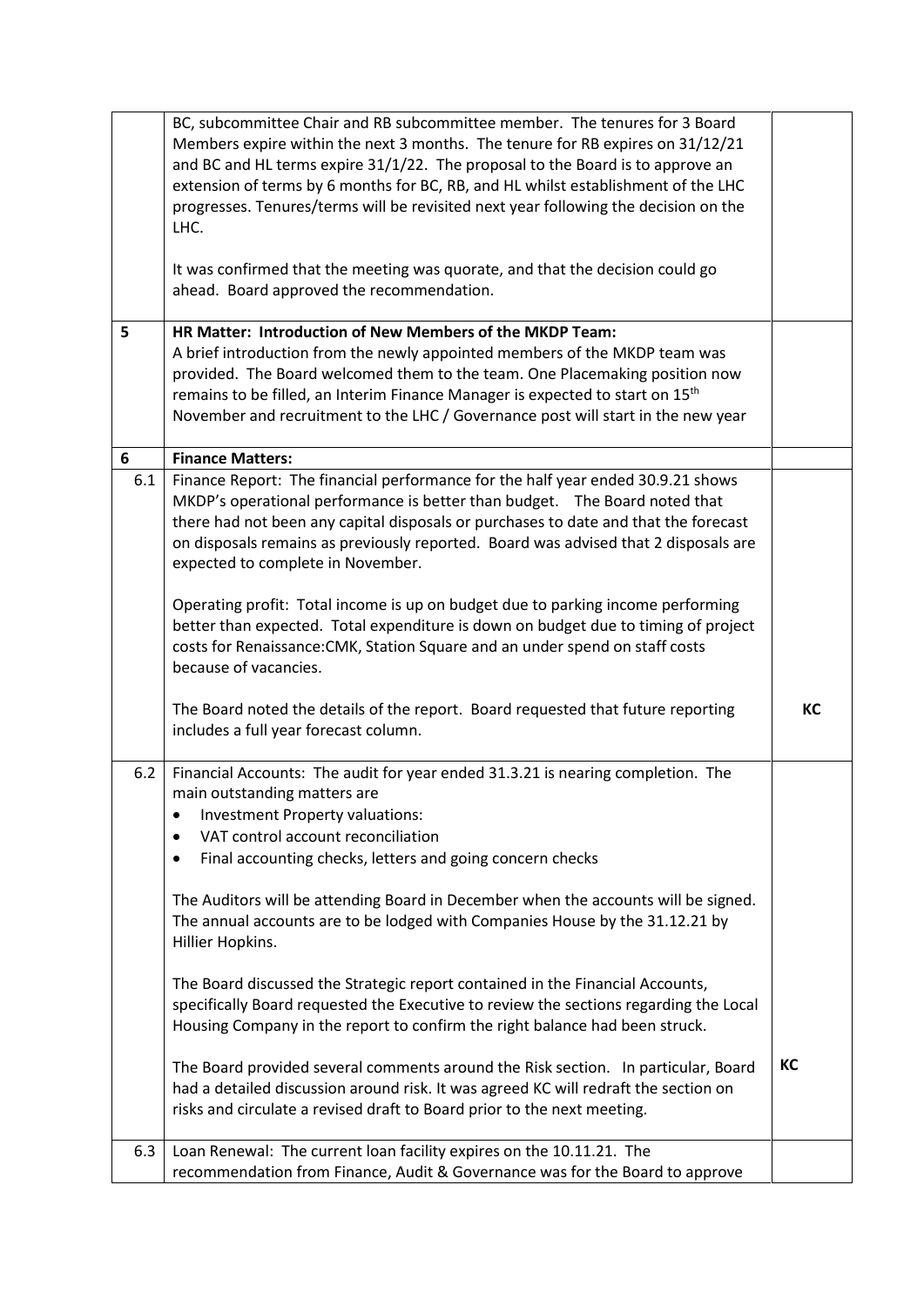|     | BC, subcommittee Chair and RB subcommittee member. The tenures for 3 Board<br>Members expire within the next 3 months. The tenure for RB expires on 31/12/21<br>and BC and HL terms expire 31/1/22. The proposal to the Board is to approve an<br>extension of terms by 6 months for BC, RB, and HL whilst establishment of the LHC<br>progresses. Tenures/terms will be revisited next year following the decision on the<br>LHC.<br>It was confirmed that the meeting was quorate, and that the decision could go<br>ahead. Board approved the recommendation. |    |
|-----|------------------------------------------------------------------------------------------------------------------------------------------------------------------------------------------------------------------------------------------------------------------------------------------------------------------------------------------------------------------------------------------------------------------------------------------------------------------------------------------------------------------------------------------------------------------|----|
| 5   | HR Matter: Introduction of New Members of the MKDP Team:<br>A brief introduction from the newly appointed members of the MKDP team was<br>provided. The Board welcomed them to the team. One Placemaking position now<br>remains to be filled, an Interim Finance Manager is expected to start on 15 <sup>th</sup><br>November and recruitment to the LHC / Governance post will start in the new year                                                                                                                                                           |    |
| 6   | <b>Finance Matters:</b>                                                                                                                                                                                                                                                                                                                                                                                                                                                                                                                                          |    |
| 6.1 | Finance Report: The financial performance for the half year ended 30.9.21 shows<br>MKDP's operational performance is better than budget. The Board noted that<br>there had not been any capital disposals or purchases to date and that the forecast<br>on disposals remains as previously reported. Board was advised that 2 disposals are<br>expected to complete in November.                                                                                                                                                                                 |    |
|     | Operating profit: Total income is up on budget due to parking income performing<br>better than expected. Total expenditure is down on budget due to timing of project<br>costs for Renaissance: CMK, Station Square and an under spend on staff costs<br>because of vacancies.                                                                                                                                                                                                                                                                                   |    |
|     | The Board noted the details of the report. Board requested that future reporting<br>includes a full year forecast column.                                                                                                                                                                                                                                                                                                                                                                                                                                        | KC |
| 6.2 | Financial Accounts: The audit for year ended 31.3.21 is nearing completion. The<br>main outstanding matters are<br>Investment Property valuations:<br>VAT control account reconciliation<br>Final accounting checks, letters and going concern checks                                                                                                                                                                                                                                                                                                            |    |
|     | The Auditors will be attending Board in December when the accounts will be signed.<br>The annual accounts are to be lodged with Companies House by the 31.12.21 by<br>Hillier Hopkins.                                                                                                                                                                                                                                                                                                                                                                           |    |
|     | The Board discussed the Strategic report contained in the Financial Accounts,<br>specifically Board requested the Executive to review the sections regarding the Local<br>Housing Company in the report to confirm the right balance had been struck.                                                                                                                                                                                                                                                                                                            |    |
|     | The Board provided several comments around the Risk section. In particular, Board<br>had a detailed discussion around risk. It was agreed KC will redraft the section on<br>risks and circulate a revised draft to Board prior to the next meeting.                                                                                                                                                                                                                                                                                                              | KC |
| 6.3 | Loan Renewal: The current loan facility expires on the 10.11.21. The<br>recommendation from Finance, Audit & Governance was for the Board to approve                                                                                                                                                                                                                                                                                                                                                                                                             |    |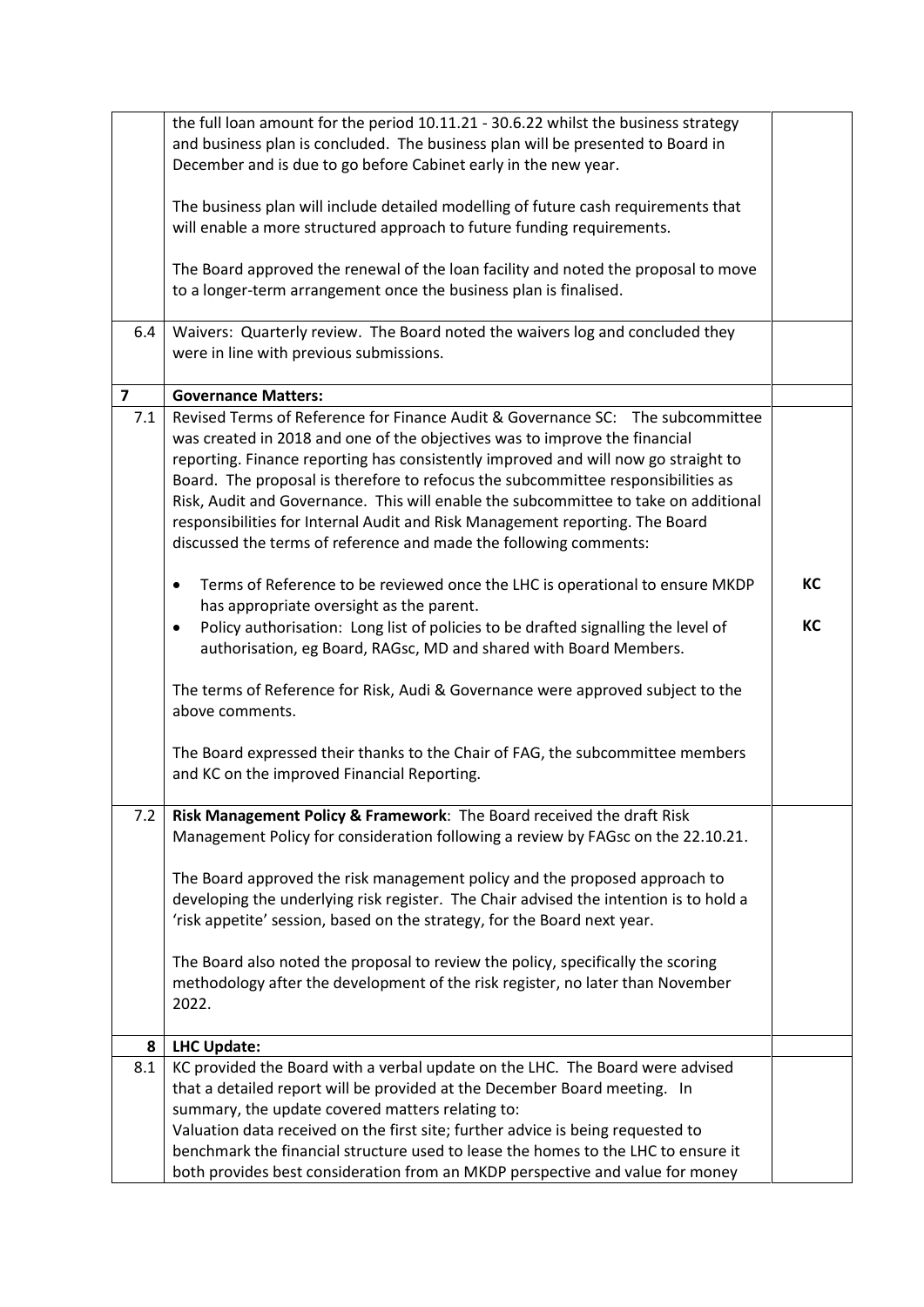|                         | the full loan amount for the period 10.11.21 - 30.6.22 whilst the business strategy            |    |
|-------------------------|------------------------------------------------------------------------------------------------|----|
|                         | and business plan is concluded. The business plan will be presented to Board in                |    |
|                         | December and is due to go before Cabinet early in the new year.                                |    |
|                         |                                                                                                |    |
|                         | The business plan will include detailed modelling of future cash requirements that             |    |
|                         | will enable a more structured approach to future funding requirements.                         |    |
|                         |                                                                                                |    |
|                         | The Board approved the renewal of the loan facility and noted the proposal to move             |    |
|                         |                                                                                                |    |
|                         | to a longer-term arrangement once the business plan is finalised.                              |    |
|                         |                                                                                                |    |
| 6.4                     | Waivers: Quarterly review. The Board noted the waivers log and concluded they                  |    |
|                         | were in line with previous submissions.                                                        |    |
|                         |                                                                                                |    |
| $\overline{\mathbf{z}}$ | <b>Governance Matters:</b>                                                                     |    |
| 7.1                     | Revised Terms of Reference for Finance Audit & Governance SC: The subcommittee                 |    |
|                         | was created in 2018 and one of the objectives was to improve the financial                     |    |
|                         | reporting. Finance reporting has consistently improved and will now go straight to             |    |
|                         | Board. The proposal is therefore to refocus the subcommittee responsibilities as               |    |
|                         | Risk, Audit and Governance. This will enable the subcommittee to take on additional            |    |
|                         | responsibilities for Internal Audit and Risk Management reporting. The Board                   |    |
|                         | discussed the terms of reference and made the following comments:                              |    |
|                         |                                                                                                |    |
|                         |                                                                                                | КC |
|                         | Terms of Reference to be reviewed once the LHC is operational to ensure MKDP<br>$\bullet$      |    |
|                         | has appropriate oversight as the parent.                                                       |    |
|                         | Policy authorisation: Long list of policies to be drafted signalling the level of<br>$\bullet$ | КC |
|                         | authorisation, eg Board, RAGsc, MD and shared with Board Members.                              |    |
|                         |                                                                                                |    |
|                         | The terms of Reference for Risk, Audi & Governance were approved subject to the                |    |
|                         | above comments.                                                                                |    |
|                         |                                                                                                |    |
|                         | The Board expressed their thanks to the Chair of FAG, the subcommittee members                 |    |
|                         | and KC on the improved Financial Reporting.                                                    |    |
|                         |                                                                                                |    |
| 7.2                     | Risk Management Policy & Framework: The Board received the draft Risk                          |    |
|                         | Management Policy for consideration following a review by FAGsc on the 22.10.21.               |    |
|                         |                                                                                                |    |
|                         | The Board approved the risk management policy and the proposed approach to                     |    |
|                         | developing the underlying risk register. The Chair advised the intention is to hold a          |    |
|                         |                                                                                                |    |
|                         | 'risk appetite' session, based on the strategy, for the Board next year.                       |    |
|                         |                                                                                                |    |
|                         | The Board also noted the proposal to review the policy, specifically the scoring               |    |
|                         | methodology after the development of the risk register, no later than November                 |    |
|                         | 2022.                                                                                          |    |
|                         |                                                                                                |    |
| 8                       | <b>LHC Update:</b>                                                                             |    |
| 8.1                     | KC provided the Board with a verbal update on the LHC. The Board were advised                  |    |
|                         | that a detailed report will be provided at the December Board meeting. In                      |    |
|                         | summary, the update covered matters relating to:                                               |    |
|                         | Valuation data received on the first site; further advice is being requested to                |    |
|                         | benchmark the financial structure used to lease the homes to the LHC to ensure it              |    |
|                         | both provides best consideration from an MKDP perspective and value for money                  |    |
|                         |                                                                                                |    |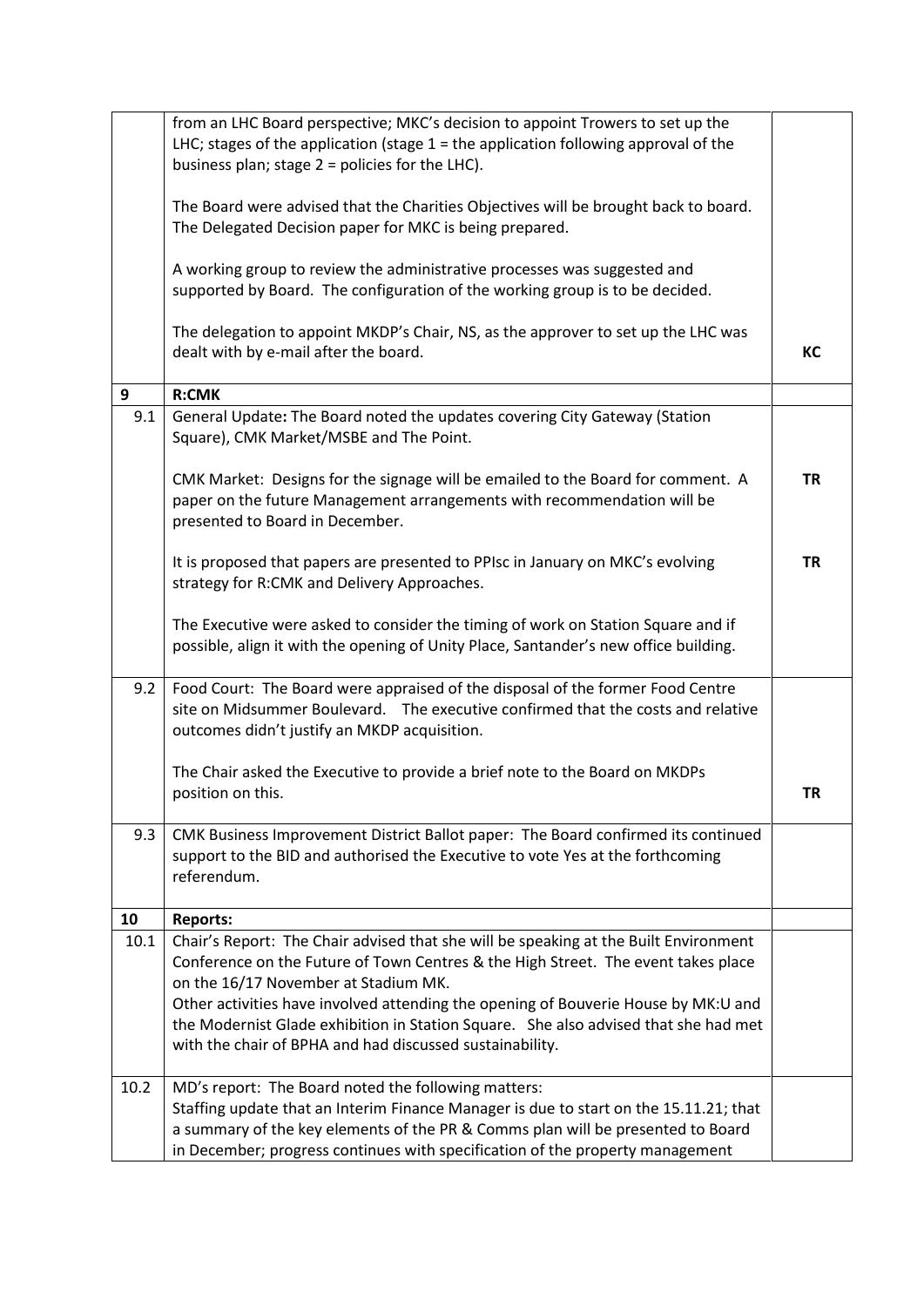|      | from an LHC Board perspective; MKC's decision to appoint Trowers to set up the<br>LHC; stages of the application (stage $1$ = the application following approval of the                                                                                                                                          |           |
|------|------------------------------------------------------------------------------------------------------------------------------------------------------------------------------------------------------------------------------------------------------------------------------------------------------------------|-----------|
|      | business plan; stage 2 = policies for the LHC).                                                                                                                                                                                                                                                                  |           |
|      | The Board were advised that the Charities Objectives will be brought back to board.<br>The Delegated Decision paper for MKC is being prepared.                                                                                                                                                                   |           |
|      | A working group to review the administrative processes was suggested and<br>supported by Board. The configuration of the working group is to be decided.                                                                                                                                                         |           |
|      | The delegation to appoint MKDP's Chair, NS, as the approver to set up the LHC was<br>dealt with by e-mail after the board.                                                                                                                                                                                       | KC        |
| 9    | <b>R:CMK</b>                                                                                                                                                                                                                                                                                                     |           |
| 9.1  | General Update: The Board noted the updates covering City Gateway (Station<br>Square), CMK Market/MSBE and The Point.                                                                                                                                                                                            |           |
|      | CMK Market: Designs for the signage will be emailed to the Board for comment. A<br>paper on the future Management arrangements with recommendation will be<br>presented to Board in December.                                                                                                                    | <b>TR</b> |
|      | It is proposed that papers are presented to PPIsc in January on MKC's evolving<br>strategy for R:CMK and Delivery Approaches.                                                                                                                                                                                    | <b>TR</b> |
|      | The Executive were asked to consider the timing of work on Station Square and if<br>possible, align it with the opening of Unity Place, Santander's new office building.                                                                                                                                         |           |
| 9.2  | Food Court: The Board were appraised of the disposal of the former Food Centre<br>site on Midsummer Boulevard.  The executive confirmed that the costs and relative<br>outcomes didn't justify an MKDP acquisition.                                                                                              |           |
|      | The Chair asked the Executive to provide a brief note to the Board on MKDPs<br>position on this.                                                                                                                                                                                                                 | <b>TR</b> |
| 9.3  | CMK Business Improvement District Ballot paper: The Board confirmed its continued<br>support to the BID and authorised the Executive to vote Yes at the forthcoming<br>referendum.                                                                                                                               |           |
| 10   | <b>Reports:</b>                                                                                                                                                                                                                                                                                                  |           |
| 10.1 | Chair's Report: The Chair advised that she will be speaking at the Built Environment<br>Conference on the Future of Town Centres & the High Street. The event takes place<br>on the 16/17 November at Stadium MK.                                                                                                |           |
|      | Other activities have involved attending the opening of Bouverie House by MK:U and<br>the Modernist Glade exhibition in Station Square. She also advised that she had met<br>with the chair of BPHA and had discussed sustainability.                                                                            |           |
| 10.2 | MD's report: The Board noted the following matters:<br>Staffing update that an Interim Finance Manager is due to start on the 15.11.21; that<br>a summary of the key elements of the PR & Comms plan will be presented to Board<br>in December; progress continues with specification of the property management |           |